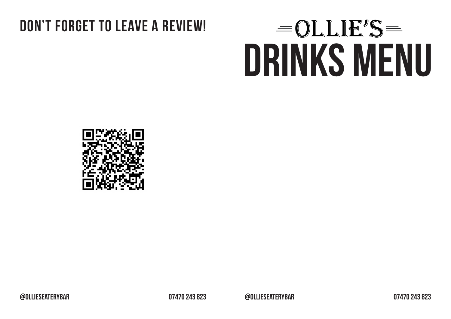## **DON'T FORGET TO LEAVE A REVIEW!**

# **DRINKS MENU**



**@ollieseaterybar 07470 243 823 @ollieseaterybar 07470 243 823**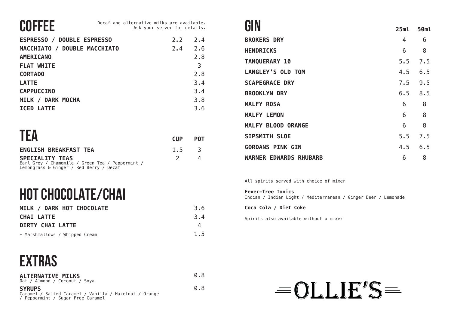## **COFFEE**

| <b>ESPRESSO / DOUBLE ESPRESSO</b> | 2.2 | 2.4 |
|-----------------------------------|-----|-----|
| MACCHIATO / DOUBLE MACCHIATO      | 2.4 | 2.6 |
| <b>AMERICANO</b>                  |     | 2.8 |
| <b>FLAT WHITE</b>                 |     | 3   |
| <b>CORTADO</b>                    |     | 2.8 |
| <b>LATTE</b>                      |     | 3.4 |
| <b>CAPPUCCINO</b>                 |     | 3.4 |
| MILK / DARK MOCHA                 |     | 3.8 |
| <b>ICED LATTE</b>                 |     | 3.6 |

| TEA                                                                        | <b>CUP</b> | <b>POT</b> |
|----------------------------------------------------------------------------|------------|------------|
| <b>ENGLISH BREAKFAST TEA</b>                                               | $1.5 \t3$  |            |
| <b>SPECIALITY TEAS</b><br>Earl Grey / Chamomile / Green Tea / Peppermint / |            |            |

Earl Grey / Chamomile / Green Tea / Peppermint / Lemongrass & Ginger / Red Berry / Decaf

## **HOT CHOCOLATE/CHAI**

| MILK / DARK HOT CHOCOLATE      | 3.6 |
|--------------------------------|-----|
| <b>CHAI LATTE</b>              | 3.4 |
| <b>DIRTY CHAI LATTE</b>        | 4   |
| + Marshmallows / Whipped Cream | 1.5 |

#### **EXTRAS**

| <b>ALTERNATIVE MILKS</b><br>Oat / Almond / Coconut / Soya               | 0.8 |
|-------------------------------------------------------------------------|-----|
| <b>SYRUPS</b><br>Caramel / Salted Caramel / Vanilla / Hazelnut / Orange | 0.8 |

/ Peppermint / Sugar Free Caramel

#### **GIN**

| UIN                           | 25ml | 50ml |
|-------------------------------|------|------|
| <b>BROKERS DRY</b>            | 4    | 6    |
| <b>HENDRICKS</b>              | 6    | 8    |
| <b>TANQUERARY 10</b>          | 5.5  | 7.5  |
| <b>LANGLEY'S OLD TOM</b>      | 4.5  | 6.5  |
| <b>SCAPEGRACE DRY</b>         | 7.5  | 9.5  |
| <b>BROOKLYN DRY</b>           | 6.5  | 8.5  |
| <b>MALFY ROSA</b>             | 6    | 8    |
| <b>MALFY LEMON</b>            | 6    | 8    |
| <b>MALFY BLOOD ORANGE</b>     | 6    | 8    |
| <b>SIPSMITH SLOE</b>          | 5.5  | 7.5  |
| <b>GORDANS PINK GIN</b>       | 4.5  | 6.5  |
| <b>WARNER EDWARDS RHUBARB</b> | 6    | 8    |

All spirits served with choice of mixer

**Fever-Tree Tonics**

Indian / Indian Light / Mediterranean / Ginger Beer / Lemonade

**Coca Cola / Diet Coke**

Spirits also available without a mixer

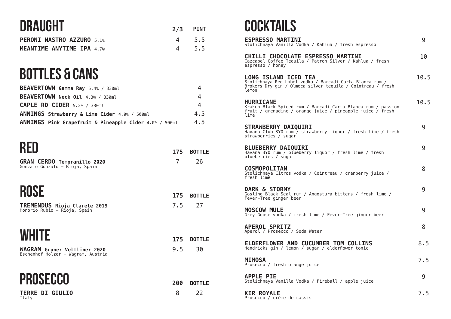## **DRAUGHT**

| <b>UNAUUN I</b>                  | $2/3$ PINT |
|----------------------------------|------------|
| <b>PERONI NASTRO AZZURO 5.1%</b> | 4 5.5      |
| <b>MEANTIME ANYTIME IPA 4.7%</b> | 4 5.5      |

# **BOTTLES & CANS**

| BEAVERTOWN Gamma Ray 5.4% / 330ml                      |     |
|--------------------------------------------------------|-----|
| BEAVERTOWN Neck Oil 4.3% / 330ml                       | 4   |
| <b>CAPLE RD CIDER</b> $5.2%$ / 330ml                   | 4   |
| ANNINGS Strawberry & Lime Cider 4.0% / 500ml           | 4.5 |
| ANNINGS Pink Grapefruit & Pineapple Cider 4.0% / 500ml | 4.5 |
|                                                        |     |

#### **RED**

| 1 1 L L                                                              | 175 | <b>BOTTLE</b> |
|----------------------------------------------------------------------|-----|---------------|
| <b>GRAN CERDO Tempranillo 2020</b><br>Gonzalo Gonzalo - Rioja, Spain | 7   | 26            |
| <b>ROSE</b>                                                          | 175 | <b>BOTTLE</b> |
| TREMENDUS Rioja Clarete 2019<br>Honorio Rubio - Rioja, Spain         | 7.5 | 27            |
| <b>WHITE</b>                                                         | 175 | <b>BOTTLE</b> |
| WAGRAM Gruner Veltliner 2020<br>Eschenhof Holzer - Wagram, Austria   | 9.5 | 30            |
| <b>PROSECCO</b>                                                      | 200 | <b>BOTTLE</b> |
| <b>TERRE DI GIULIO</b><br>Italy                                      | 8   | 22            |

#### **COCKTAILS**

| <b>ESPRESSO MARTINI</b><br>Stolichnaya Vanilla Vodka / Kahlua / fresh espresso                                                                                  | g    |
|-----------------------------------------------------------------------------------------------------------------------------------------------------------------|------|
| CHILLI CHOCOLATE ESPRESSO MARTINI<br>Cazcabel Coffee Tequila / Patron Silver / Kahlua / fresh<br>espresso / honey                                               | 10   |
| <b>LONG ISLAND ICED TEA</b><br>Stolichnaya Red Label vodka / Barcadi Carta Blanca rum /<br>Brokers Dry gin / Olmeca silver tequila / Cointreau / fresh<br>lemon | 10.5 |
| <b>HURRICANE</b><br>Kraken Black Spiced rum / Barcadi Carta Blanca rum / passion<br>fruit / grenadine / orange juice / pineapple juice / fresh<br>lime          | 10.5 |
| <b>STRAWBERRY DAIQUIRI</b><br>Havana Club 3YO rum / strawberry liquor / fresh lime / fresh<br>strawberries / sugar                                              | 9    |
| <b>BLUEBERRY DAIQUIRI</b><br>Havana 3YO rum / blueberry liquor / fresh lime / fresh<br>blueberries / sugar                                                      | g    |
| <b>COSMOPOLITAN</b><br>Stolichnaya Citros vodka / Cointreau / cranberry juice /<br>fresh lime                                                                   | 8    |
| <b>DARK &amp; STORMY</b><br>Gosling Black Seal rum / Angostura bitters / fresh lime /<br>Fever-Tree ginger beer                                                 | g    |
| <b>MOSCOW MULE</b><br>Grey Goose vodka / fresh lime / Fever-Tree ginger beer                                                                                    | g    |
| <b>APEROL SPRITZ</b><br>Aperol / Prosecco / Soda Water                                                                                                          | 8    |
| ELDERFLOWER AND CUCUMBER TOM COLLINS<br>Hendricks gin / lemon / sugar / elderflower tonic                                                                       | 8.5  |
| <b>MIMOSA</b><br>Prosecco / fresh orange juice                                                                                                                  | 7.5  |
| <b>APPLE PIE</b><br>Stolichnaya Vanilla Vodka / Fireball / apple juice                                                                                          | 9    |
| <b>KIR ROYALE</b>                                                                                                                                               | 7.5  |

**KIR ROYALE** Prosecco / crème de cassis